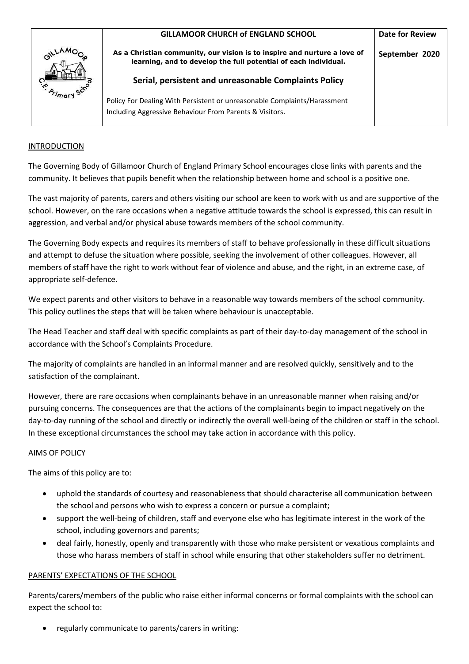

### INTRODUCTION

The Governing Body of Gillamoor Church of England Primary School encourages close links with parents and the community. It believes that pupils benefit when the relationship between home and school is a positive one.

The vast majority of parents, carers and others visiting our school are keen to work with us and are supportive of the school. However, on the rare occasions when a negative attitude towards the school is expressed, this can result in aggression, and verbal and/or physical abuse towards members of the school community.

The Governing Body expects and requires its members of staff to behave professionally in these difficult situations and attempt to defuse the situation where possible, seeking the involvement of other colleagues. However, all members of staff have the right to work without fear of violence and abuse, and the right, in an extreme case, of appropriate self-defence.

We expect parents and other visitors to behave in a reasonable way towards members of the school community. This policy outlines the steps that will be taken where behaviour is unacceptable.

The Head Teacher and staff deal with specific complaints as part of their day-to-day management of the school in accordance with the School's Complaints Procedure.

The majority of complaints are handled in an informal manner and are resolved quickly, sensitively and to the satisfaction of the complainant.

However, there are rare occasions when complainants behave in an unreasonable manner when raising and/or pursuing concerns. The consequences are that the actions of the complainants begin to impact negatively on the day-to-day running of the school and directly or indirectly the overall well-being of the children or staff in the school. In these exceptional circumstances the school may take action in accordance with this policy.

### AIMS OF POLICY

The aims of this policy are to:

- uphold the standards of courtesy and reasonableness that should characterise all communication between the school and persons who wish to express a concern or pursue a complaint;
- support the well-being of children, staff and everyone else who has legitimate interest in the work of the school, including governors and parents;
- deal fairly, honestly, openly and transparently with those who make persistent or vexatious complaints and those who harass members of staff in school while ensuring that other stakeholders suffer no detriment.

### PARENTS' EXPECTATIONS OF THE SCHOOL

Parents/carers/members of the public who raise either informal concerns or formal complaints with the school can expect the school to:

regularly communicate to parents/carers in writing: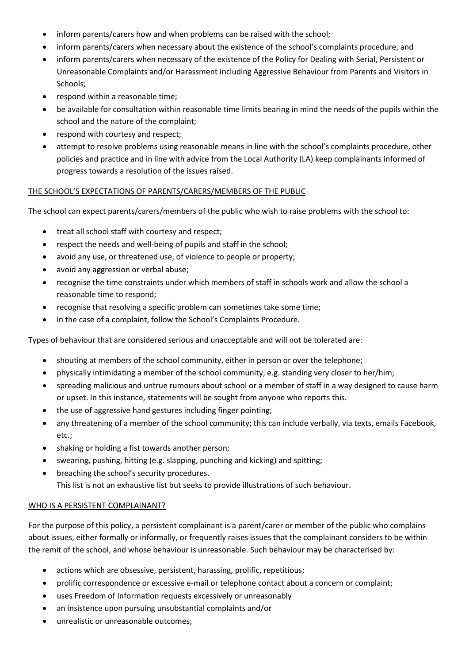- inform parents/carers how and when problems can be raised with the school;
- inform parents/carers when necessary about the existence of the school's complaints procedure, and
- inform parents/carers when necessary of the existence of the Policy for Dealing with Serial, Persistent or Unreasonable Complaints and/or Harassment including Aggressive Behaviour from Parents and Visitors in Schools;
- respond within a reasonable time;
- be available for consultation within reasonable time limits bearing in mind the needs of the pupils within the school and the nature of the complaint;
- respond with courtesy and respect;
- attempt to resolve problems using reasonable means in line with the school's complaints procedure, other policies and practice and in line with advice from the Local Authority (LA) keep complainants informed of progress towards a resolution of the issues raised.

# THE SCHOOL'S EXPECTATIONS OF PARENTS/CARERS/MEMBERS OF THE PUBLIC

The school can expect parents/carers/members of the public who wish to raise problems with the school to:

- treat all school staff with courtesy and respect;
- respect the needs and well-being of pupils and staff in the school;
- avoid any use, or threatened use, of violence to people or property;
- avoid any aggression or verbal abuse;
- recognise the time constraints under which members of staff in schools work and allow the school a reasonable time to respond;
- recognise that resolving a specific problem can sometimes take some time;
- in the case of a complaint, follow the School's Complaints Procedure.

Types of behaviour that are considered serious and unacceptable and will not be tolerated are:

- shouting at members of the school community, either in person or over the telephone;
- physically intimidating a member of the school community, e.g. standing very closer to her/him;
- spreading malicious and untrue rumours about school or a member of staff in a way designed to cause harm or upset. In this instance, statements will be sought from anyone who reports this.
- the use of aggressive hand gestures including finger pointing;
- any threatening of a member of the school community; this can include verbally, via texts, emails Facebook, etc.;
- shaking or holding a fist towards another person;
- swearing, pushing, hitting (e.g. slapping, punching and kicking) and spitting;
- breaching the school's security procedures. This list is not an exhaustive list but seeks to provide illustrations of such behaviour.

# WHO IS A PERSISTENT COMPLAINANT?

For the purpose of this policy, a persistent complainant is a parent/carer or member of the public who complains about issues, either formally or informally, or frequently raises issues that the complainant considers to be within the remit of the school, and whose behaviour is unreasonable. Such behaviour may be characterised by:

- actions which are obsessive, persistent, harassing, prolific, repetitious;
- prolific correspondence or excessive e-mail or telephone contact about a concern or complaint;
- uses Freedom of Information requests excessively or unreasonably
- an insistence upon pursuing unsubstantial complaints and/or
- unrealistic or unreasonable outcomes;